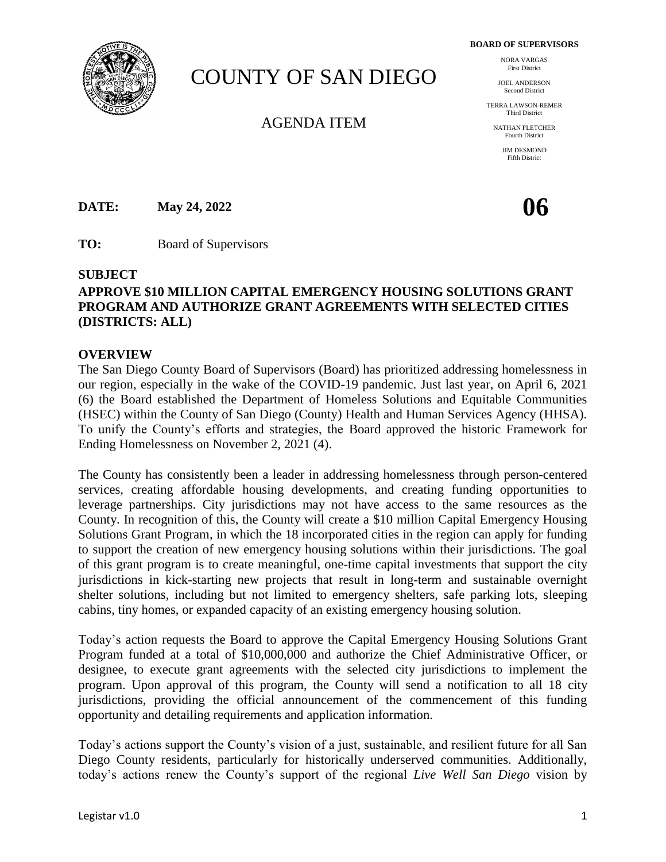**BOARD OF SUPERVISORS**

# COUNTY OF SAN DIEGO

# AGENDA ITEM

NORA VARGAS First District

JOEL ANDERSON Second District

TERRA LAWSON-REMER Third District

NATHAN FLETCHER Fourth District

> JIM DESMOND Fifth District

**DATE:** May 24, 2022 **06** 

**TO:** Board of Supervisors

#### **SUBJECT**

# **APPROVE \$10 MILLION CAPITAL EMERGENCY HOUSING SOLUTIONS GRANT PROGRAM AND AUTHORIZE GRANT AGREEMENTS WITH SELECTED CITIES (DISTRICTS: ALL)**

#### **OVERVIEW**

The San Diego County Board of Supervisors (Board) has prioritized addressing homelessness in our region, especially in the wake of the COVID-19 pandemic. Just last year, on April 6, 2021 (6) the Board established the Department of Homeless Solutions and Equitable Communities (HSEC) within the County of San Diego (County) Health and Human Services Agency (HHSA). To unify the County's efforts and strategies, the Board approved the historic Framework for Ending Homelessness on November 2, 2021 (4).

The County has consistently been a leader in addressing homelessness through person-centered services, creating affordable housing developments, and creating funding opportunities to leverage partnerships. City jurisdictions may not have access to the same resources as the County. In recognition of this, the County will create a \$10 million Capital Emergency Housing Solutions Grant Program, in which the 18 incorporated cities in the region can apply for funding to support the creation of new emergency housing solutions within their jurisdictions. The goal of this grant program is to create meaningful, one-time capital investments that support the city jurisdictions in kick-starting new projects that result in long-term and sustainable overnight shelter solutions, including but not limited to emergency shelters, safe parking lots, sleeping cabins, tiny homes, or expanded capacity of an existing emergency housing solution.

Today's action requests the Board to approve the Capital Emergency Housing Solutions Grant Program funded at a total of \$10,000,000 and authorize the Chief Administrative Officer, or designee, to execute grant agreements with the selected city jurisdictions to implement the program. Upon approval of this program, the County will send a notification to all 18 city jurisdictions, providing the official announcement of the commencement of this funding opportunity and detailing requirements and application information.

Today's actions support the County's vision of a just, sustainable, and resilient future for all San Diego County residents, particularly for historically underserved communities. Additionally, today's actions renew the County's support of the regional *Live Well San Diego* vision by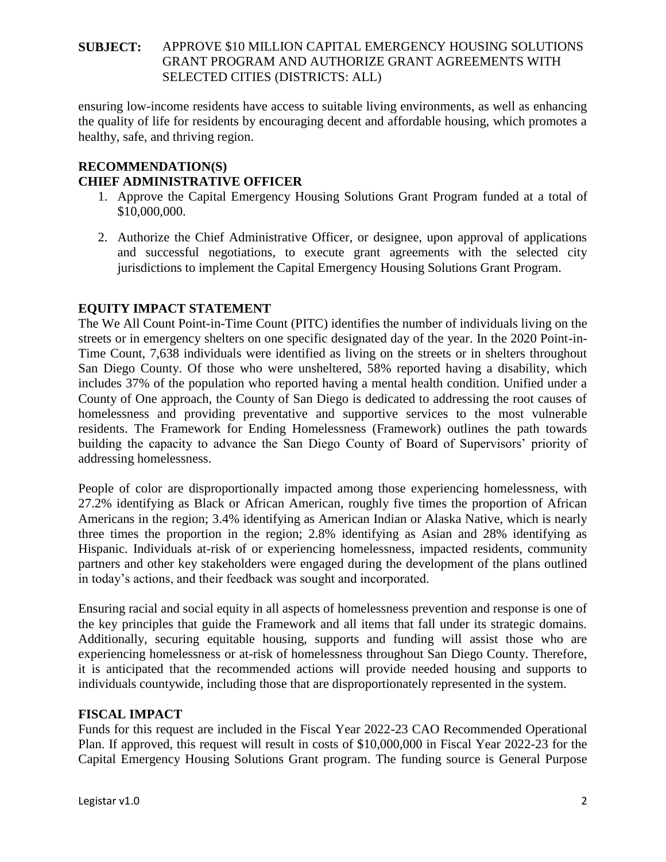ensuring low-income residents have access to suitable living environments, as well as enhancing the quality of life for residents by encouraging decent and affordable housing, which promotes a healthy, safe, and thriving region.

# **RECOMMENDATION(S) CHIEF ADMINISTRATIVE OFFICER**

- 1. Approve the Capital Emergency Housing Solutions Grant Program funded at a total of \$10,000,000.
- 2. Authorize the Chief Administrative Officer, or designee, upon approval of applications and successful negotiations, to execute grant agreements with the selected city jurisdictions to implement the Capital Emergency Housing Solutions Grant Program.

# **EQUITY IMPACT STATEMENT**

The We All Count Point-in-Time Count (PITC) identifies the number of individuals living on the streets or in emergency shelters on one specific designated day of the year. In the 2020 Point-in-Time Count, 7,638 individuals were identified as living on the streets or in shelters throughout San Diego County. Of those who were unsheltered, 58% reported having a disability, which includes 37% of the population who reported having a mental health condition. Unified under a County of One approach, the County of San Diego is dedicated to addressing the root causes of homelessness and providing preventative and supportive services to the most vulnerable residents. The Framework for Ending Homelessness (Framework) outlines the path towards building the capacity to advance the San Diego County of Board of Supervisors' priority of addressing homelessness.

People of color are disproportionally impacted among those experiencing homelessness, with 27.2% identifying as Black or African American, roughly five times the proportion of African Americans in the region; 3.4% identifying as American Indian or Alaska Native, which is nearly three times the proportion in the region; 2.8% identifying as Asian and 28% identifying as Hispanic. Individuals at-risk of or experiencing homelessness, impacted residents, community partners and other key stakeholders were engaged during the development of the plans outlined in today's actions, and their feedback was sought and incorporated.

Ensuring racial and social equity in all aspects of homelessness prevention and response is one of the key principles that guide the Framework and all items that fall under its strategic domains. Additionally, securing equitable housing, supports and funding will assist those who are experiencing homelessness or at-risk of homelessness throughout San Diego County. Therefore, it is anticipated that the recommended actions will provide needed housing and supports to individuals countywide, including those that are disproportionately represented in the system.

# **FISCAL IMPACT**

Funds for this request are included in the Fiscal Year 2022-23 CAO Recommended Operational Plan. If approved, this request will result in costs of \$10,000,000 in Fiscal Year 2022-23 for the Capital Emergency Housing Solutions Grant program. The funding source is General Purpose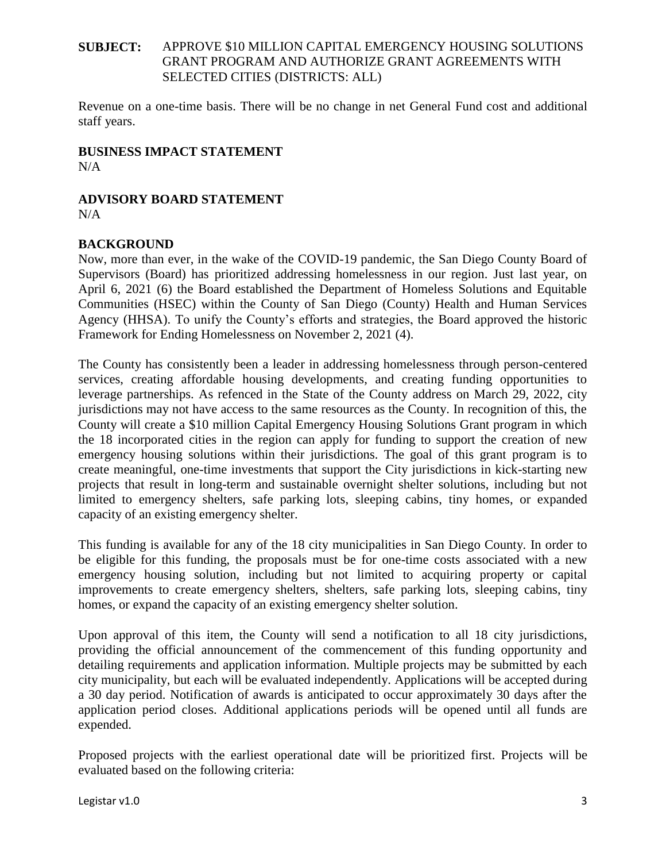Revenue on a one-time basis. There will be no change in net General Fund cost and additional staff years.

#### **BUSINESS IMPACT STATEMENT**  $N/A$

# **ADVISORY BOARD STATEMENT**

N/A

# **BACKGROUND**

Now, more than ever, in the wake of the COVID-19 pandemic, the San Diego County Board of Supervisors (Board) has prioritized addressing homelessness in our region. Just last year, on April 6, 2021 (6) the Board established the Department of Homeless Solutions and Equitable Communities (HSEC) within the County of San Diego (County) Health and Human Services Agency (HHSA). To unify the County's efforts and strategies, the Board approved the historic Framework for Ending Homelessness on November 2, 2021 (4).

The County has consistently been a leader in addressing homelessness through person-centered services, creating affordable housing developments, and creating funding opportunities to leverage partnerships. As refenced in the State of the County address on March 29, 2022, city jurisdictions may not have access to the same resources as the County. In recognition of this, the County will create a \$10 million Capital Emergency Housing Solutions Grant program in which the 18 incorporated cities in the region can apply for funding to support the creation of new emergency housing solutions within their jurisdictions. The goal of this grant program is to create meaningful, one-time investments that support the City jurisdictions in kick-starting new projects that result in long-term and sustainable overnight shelter solutions, including but not limited to emergency shelters, safe parking lots, sleeping cabins, tiny homes, or expanded capacity of an existing emergency shelter.

This funding is available for any of the 18 city municipalities in San Diego County. In order to be eligible for this funding, the proposals must be for one-time costs associated with a new emergency housing solution, including but not limited to acquiring property or capital improvements to create emergency shelters, shelters, safe parking lots, sleeping cabins, tiny homes, or expand the capacity of an existing emergency shelter solution.

Upon approval of this item, the County will send a notification to all 18 city jurisdictions, providing the official announcement of the commencement of this funding opportunity and detailing requirements and application information. Multiple projects may be submitted by each city municipality, but each will be evaluated independently. Applications will be accepted during a 30 day period. Notification of awards is anticipated to occur approximately 30 days after the application period closes. Additional applications periods will be opened until all funds are expended.

Proposed projects with the earliest operational date will be prioritized first. Projects will be evaluated based on the following criteria: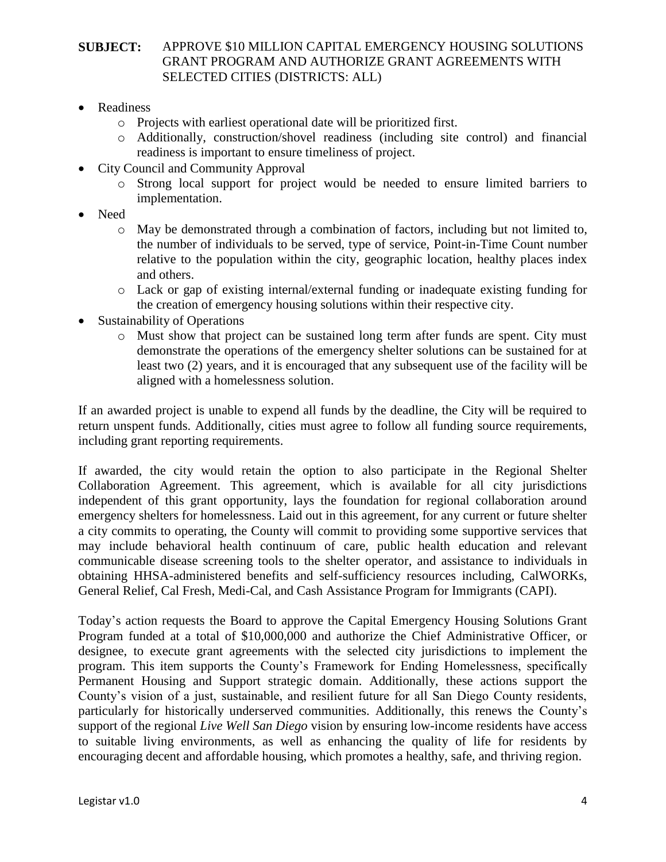- Readiness
	- o Projects with earliest operational date will be prioritized first.
	- o Additionally, construction/shovel readiness (including site control) and financial readiness is important to ensure timeliness of project.
- City Council and Community Approval
	- o Strong local support for project would be needed to ensure limited barriers to implementation.
- Need
	- $\circ$  May be demonstrated through a combination of factors, including but not limited to, the number of individuals to be served, type of service, Point-in-Time Count number relative to the population within the city, geographic location, healthy places index and others.
	- o Lack or gap of existing internal/external funding or inadequate existing funding for the creation of emergency housing solutions within their respective city.
- Sustainability of Operations
	- o Must show that project can be sustained long term after funds are spent. City must demonstrate the operations of the emergency shelter solutions can be sustained for at least two (2) years, and it is encouraged that any subsequent use of the facility will be aligned with a homelessness solution.

If an awarded project is unable to expend all funds by the deadline, the City will be required to return unspent funds. Additionally, cities must agree to follow all funding source requirements, including grant reporting requirements.

If awarded, the city would retain the option to also participate in the Regional Shelter Collaboration Agreement. This agreement, which is available for all city jurisdictions independent of this grant opportunity, lays the foundation for regional collaboration around emergency shelters for homelessness. Laid out in this agreement, for any current or future shelter a city commits to operating, the County will commit to providing some supportive services that may include behavioral health continuum of care, public health education and relevant communicable disease screening tools to the shelter operator, and assistance to individuals in obtaining HHSA-administered benefits and self-sufficiency resources including, CalWORKs, General Relief, Cal Fresh, Medi-Cal, and Cash Assistance Program for Immigrants (CAPI).

Today's action requests the Board to approve the Capital Emergency Housing Solutions Grant Program funded at a total of \$10,000,000 and authorize the Chief Administrative Officer, or designee, to execute grant agreements with the selected city jurisdictions to implement the program. This item supports the County's Framework for Ending Homelessness, specifically Permanent Housing and Support strategic domain. Additionally, these actions support the County's vision of a just, sustainable, and resilient future for all San Diego County residents, particularly for historically underserved communities. Additionally, this renews the County's support of the regional *Live Well San Diego* vision by ensuring low-income residents have access to suitable living environments, as well as enhancing the quality of life for residents by encouraging decent and affordable housing, which promotes a healthy, safe, and thriving region.